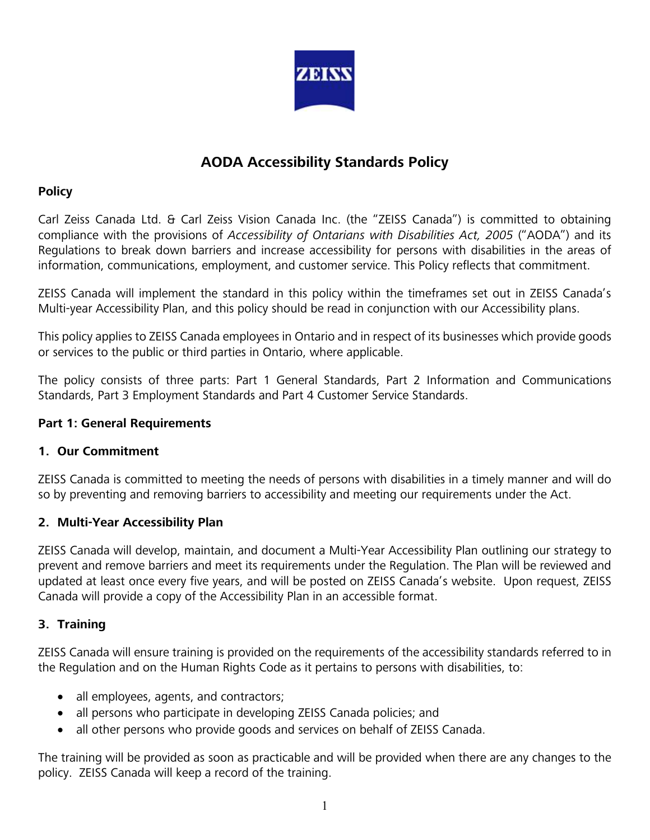

# **AODA Accessibility Standards Policy**

# **Policy**

Carl Zeiss Canada Ltd. & Carl Zeiss Vision Canada Inc. (the "ZEISS Canada") is committed to obtaining compliance with the provisions of *Accessibility of Ontarians with Disabilities Act, 2005* ("AODA") and its Regulations to break down barriers and increase accessibility for persons with disabilities in the areas of information, communications, employment, and customer service. This Policy reflects that commitment.

ZEISS Canada will implement the standard in this policy within the timeframes set out in ZEISS Canada's Multi-year Accessibility Plan, and this policy should be read in conjunction with our Accessibility plans.

This policy applies to ZEISS Canada employees in Ontario and in respect of its businesses which provide goods or services to the public or third parties in Ontario, where applicable.

The policy consists of three parts: Part 1 General Standards, Part 2 Information and Communications Standards, Part 3 Employment Standards and Part 4 Customer Service Standards.

## **Part 1: General Requirements**

# **1. Our Commitment**

ZEISS Canada is committed to meeting the needs of persons with disabilities in a timely manner and will do so by preventing and removing barriers to accessibility and meeting our requirements under the Act.

# **2. Multi-Year Accessibility Plan**

ZEISS Canada will develop, maintain, and document a Multi-Year Accessibility Plan outlining our strategy to prevent and remove barriers and meet its requirements under the Regulation. The Plan will be reviewed and updated at least once every five years, and will be posted on ZEISS Canada's website. Upon request, ZEISS Canada will provide a copy of the Accessibility Plan in an accessible format.

# **3. Training**

ZEISS Canada will ensure training is provided on the requirements of the accessibility standards referred to in the Regulation and on the Human Rights Code as it pertains to persons with disabilities, to:

- all employees, agents, and contractors;
- all persons who participate in developing ZEISS Canada policies; and
- all other persons who provide goods and services on behalf of ZEISS Canada.

The training will be provided as soon as practicable and will be provided when there are any changes to the policy. ZEISS Canada will keep a record of the training.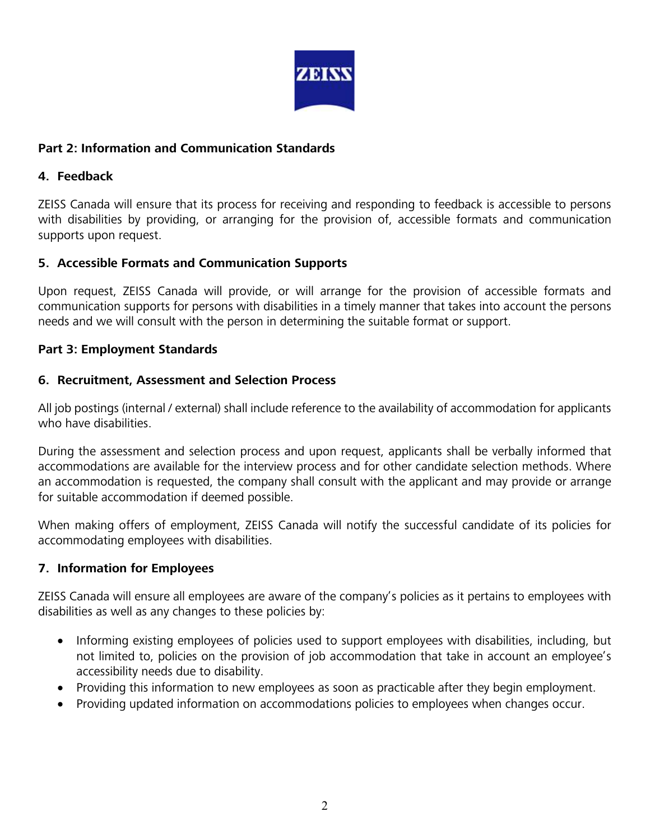

## **Part 2: Information and Communication Standards**

#### **4. Feedback**

ZEISS Canada will ensure that its process for receiving and responding to feedback is accessible to persons with disabilities by providing, or arranging for the provision of, accessible formats and communication supports upon request.

# **5. Accessible Formats and Communication Supports**

Upon request, ZEISS Canada will provide, or will arrange for the provision of accessible formats and communication supports for persons with disabilities in a timely manner that takes into account the persons needs and we will consult with the person in determining the suitable format or support.

#### **Part 3: Employment Standards**

#### **6. Recruitment, Assessment and Selection Process**

All job postings (internal / external) shall include reference to the availability of accommodation for applicants who have disabilities.

During the assessment and selection process and upon request, applicants shall be verbally informed that accommodations are available for the interview process and for other candidate selection methods. Where an accommodation is requested, the company shall consult with the applicant and may provide or arrange for suitable accommodation if deemed possible.

When making offers of employment, ZEISS Canada will notify the successful candidate of its policies for accommodating employees with disabilities.

# **7. Information for Employees**

ZEISS Canada will ensure all employees are aware of the company's policies as it pertains to employees with disabilities as well as any changes to these policies by:

- Informing existing employees of policies used to support employees with disabilities, including, but not limited to, policies on the provision of job accommodation that take in account an employee's accessibility needs due to disability.
- Providing this information to new employees as soon as practicable after they begin employment.
- Providing updated information on accommodations policies to employees when changes occur.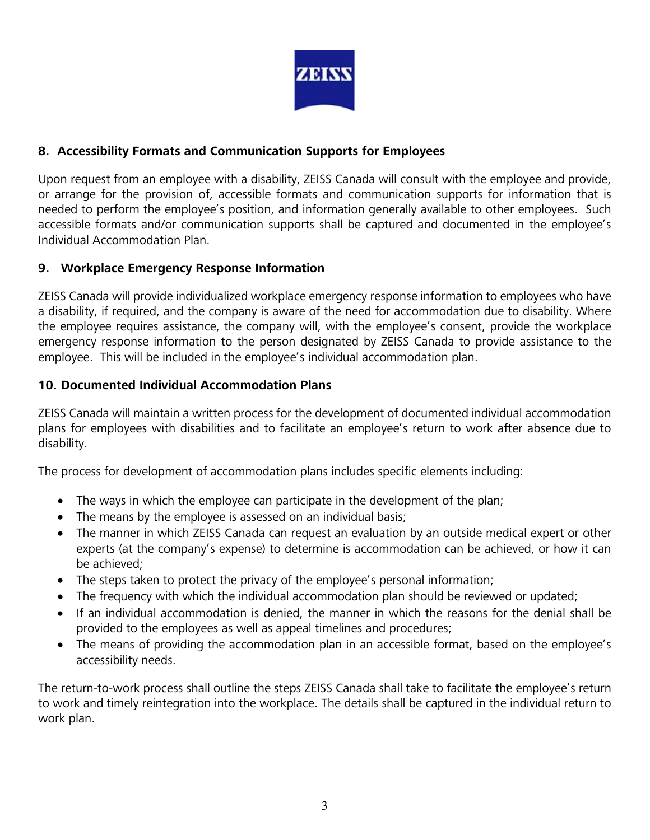

# **8. Accessibility Formats and Communication Supports for Employees**

Upon request from an employee with a disability, ZEISS Canada will consult with the employee and provide, or arrange for the provision of, accessible formats and communication supports for information that is needed to perform the employee's position, and information generally available to other employees. Such accessible formats and/or communication supports shall be captured and documented in the employee's Individual Accommodation Plan.

# **9. Workplace Emergency Response Information**

ZEISS Canada will provide individualized workplace emergency response information to employees who have a disability, if required, and the company is aware of the need for accommodation due to disability. Where the employee requires assistance, the company will, with the employee's consent, provide the workplace emergency response information to the person designated by ZEISS Canada to provide assistance to the employee. This will be included in the employee's individual accommodation plan.

#### **10. Documented Individual Accommodation Plans**

ZEISS Canada will maintain a written process for the development of documented individual accommodation plans for employees with disabilities and to facilitate an employee's return to work after absence due to disability.

The process for development of accommodation plans includes specific elements including:

- The ways in which the employee can participate in the development of the plan;
- The means by the employee is assessed on an individual basis;
- The manner in which ZEISS Canada can request an evaluation by an outside medical expert or other experts (at the company's expense) to determine is accommodation can be achieved, or how it can be achieved;
- The steps taken to protect the privacy of the employee's personal information;
- The frequency with which the individual accommodation plan should be reviewed or updated;
- If an individual accommodation is denied, the manner in which the reasons for the denial shall be provided to the employees as well as appeal timelines and procedures;
- The means of providing the accommodation plan in an accessible format, based on the employee's accessibility needs.

The return-to-work process shall outline the steps ZEISS Canada shall take to facilitate the employee's return to work and timely reintegration into the workplace. The details shall be captured in the individual return to work plan.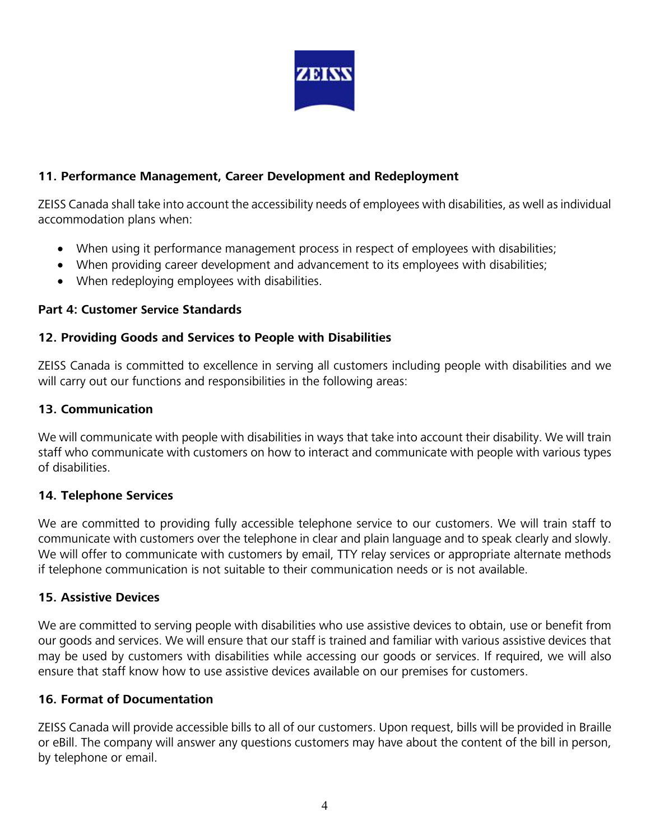

# **11. Performance Management, Career Development and Redeployment**

ZEISS Canada shall take into account the accessibility needs of employees with disabilities, as well as individual accommodation plans when:

- When using it performance management process in respect of employees with disabilities;
- When providing career development and advancement to its employees with disabilities;
- When redeploying employees with disabilities.

#### **Part 4: Customer Service Standards**

#### **12. Providing Goods and Services to People with Disabilities**

ZEISS Canada is committed to excellence in serving all customers including people with disabilities and we will carry out our functions and responsibilities in the following areas:

#### **13. Communication**

We will communicate with people with disabilities in ways that take into account their disability. We will train staff who communicate with customers on how to interact and communicate with people with various types of disabilities.

#### **14. Telephone Services**

We are committed to providing fully accessible telephone service to our customers. We will train staff to communicate with customers over the telephone in clear and plain language and to speak clearly and slowly. We will offer to communicate with customers by email, TTY relay services or appropriate alternate methods if telephone communication is not suitable to their communication needs or is not available.

#### **15. Assistive Devices**

We are committed to serving people with disabilities who use assistive devices to obtain, use or benefit from our goods and services. We will ensure that our staff is trained and familiar with various assistive devices that may be used by customers with disabilities while accessing our goods or services. If required, we will also ensure that staff know how to use assistive devices available on our premises for customers.

#### **16. Format of Documentation**

ZEISS Canada will provide accessible bills to all of our customers. Upon request, bills will be provided in Braille or eBill. The company will answer any questions customers may have about the content of the bill in person, by telephone or email.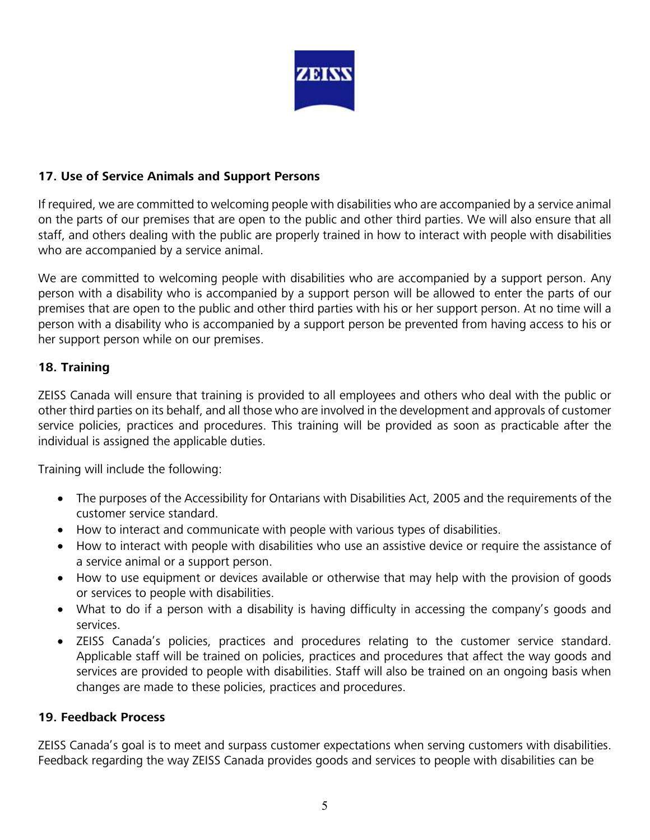

# **17. Use of Service Animals and Support Persons**

If required, we are committed to welcoming people with disabilities who are accompanied by a service animal on the parts of our premises that are open to the public and other third parties. We will also ensure that all staff, and others dealing with the public are properly trained in how to interact with people with disabilities who are accompanied by a service animal.

We are committed to welcoming people with disabilities who are accompanied by a support person. Any person with a disability who is accompanied by a support person will be allowed to enter the parts of our premises that are open to the public and other third parties with his or her support person. At no time will a person with a disability who is accompanied by a support person be prevented from having access to his or her support person while on our premises.

# **18. Training**

ZEISS Canada will ensure that training is provided to all employees and others who deal with the public or other third parties on its behalf, and all those who are involved in the development and approvals of customer service policies, practices and procedures. This training will be provided as soon as practicable after the individual is assigned the applicable duties.

Training will include the following:

- The purposes of the Accessibility for Ontarians with Disabilities Act, 2005 and the requirements of the customer service standard.
- How to interact and communicate with people with various types of disabilities.
- How to interact with people with disabilities who use an assistive device or require the assistance of a service animal or a support person.
- How to use equipment or devices available or otherwise that may help with the provision of goods or services to people with disabilities.
- What to do if a person with a disability is having difficulty in accessing the company's goods and services.
- ZEISS Canada's policies, practices and procedures relating to the customer service standard. Applicable staff will be trained on policies, practices and procedures that affect the way goods and services are provided to people with disabilities. Staff will also be trained on an ongoing basis when changes are made to these policies, practices and procedures.

#### **19. Feedback Process**

ZEISS Canada's goal is to meet and surpass customer expectations when serving customers with disabilities. Feedback regarding the way ZEISS Canada provides goods and services to people with disabilities can be